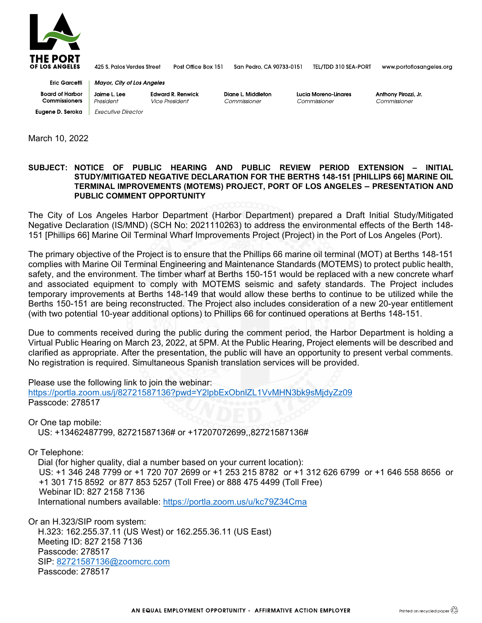

425 S. Palos Verdes Street Post Office Box 151

San Pedro, CA 90733-0151

TEL/TDD 310 SEA-PORT

www.portoflosangeles.org

**Eric Garcetti Board of Harbor Commissioners Eugene D. Seroka** Executive Director

Jaime L. Lee **Edward R. Renwick Vice President** President

Mayor, City of Los Angeles

Diane L. Middleton Commissioner

Lucia Moreno-Linares Commissioner

Anthony Pirozzi, Jr. Commissioner

March 10, 2022

## **SUBJECT: NOTICE OF PUBLIC HEARING AND PUBLIC REVIEW PERIOD EXTENSION – INITIAL STUDY/MITIGATED NEGATIVE DECLARATION FOR THE BERTHS 148-151 [PHILLIPS 66] MARINE OIL TERMINAL IMPROVEMENTS (MOTEMS) PROJECT, PORT OF LOS ANGELES – PRESENTATION AND PUBLIC COMMENT OPPORTUNITY**

The City of Los Angeles Harbor Department (Harbor Department) prepared a Draft Initial Study/Mitigated Negative Declaration (IS/MND) (SCH No: 2021110263) to address the environmental effects of the Berth 148- 151 [Phillips 66] Marine Oil Terminal Wharf Improvements Project (Project) in the Port of Los Angeles (Port).

The primary objective of the Project is to ensure that the Phillips 66 marine oil terminal (MOT) at Berths 148-151 complies with Marine Oil Terminal Engineering and Maintenance Standards (MOTEMS) to protect public health, safety, and the environment. The timber wharf at Berths 150-151 would be replaced with a new concrete wharf and associated equipment to comply with MOTEMS seismic and safety standards. The Project includes temporary improvements at Berths 148-149 that would allow these berths to continue to be utilized while the Berths 150-151 are being reconstructed. The Project also includes consideration of a new 20-year entitlement (with two potential 10-year additional options) to Phillips 66 for continued operations at Berths 148-151.

Due to comments received during the public during the comment period, the Harbor Department is holding a Virtual Public Hearing on March 23, 2022, at 5PM. At the Public Hearing, Project elements will be described and clarified as appropriate. After the presentation, the public will have an opportunity to present verbal comments. No registration is required. Simultaneous Spanish translation services will be provided.

Please use the following link to join the webinar:

<https://portla.zoom.us/j/82721587136?pwd=Y2lpbExObnlZL1VvMHN3bk9sMjdyZz09> Passcode: 278517

Or One tap mobile:

US: +13462487799, 82721587136# or +17207072699,,82721587136#

Or Telephone:

Dial (for higher quality, dial a number based on your current location): US: +1 346 248 7799 or +1 720 707 2699 or +1 253 215 8782 or +1 312 626 6799 or +1 646 558 8656 or +1 301 715 8592 or 877 853 5257 (Toll Free) or 888 475 4499 (Toll Free) Webinar ID: 827 2158 7136 International numbers available:<https://portla.zoom.us/u/kc79Z34Cma>

Or an H.323/SIP room system: H.323: 162.255.37.11 (US West) or 162.255.36.11 (US East) Meeting ID: 827 2158 7136 Passcode: 278517 SIP: [82721587136@zoomcrc.com](mailto:82721587136@zoomcrc.com) Passcode: 278517